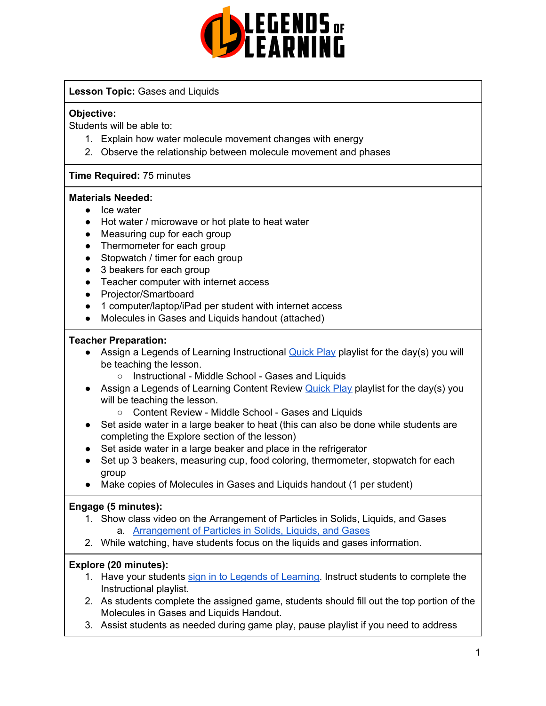

## **Lesson Topic:** Gases and Liquids

#### **Objective:**

Students will be able to:

- 1. Explain how water molecule movement changes with energy
- 2. Observe the relationship between molecule movement and phases

## **Time Required:** 75 minutes

#### **Materials Needed:**

- Ice water
- Hot water / microwave or hot plate to heat water
- Measuring cup for each group
- Thermometer for each group
- Stopwatch / timer for each group
- 3 beakers for each group
- Teacher computer with internet access
- Projector/Smartboard
- 1 computer/laptop/iPad per student with internet access
- Molecules in Gases and Liquids handout (attached)

#### **Teacher Preparation:**

- Assign a Legends of Learning Instructional **[Quick](https://intercom.help/legends-of-learning/en/articles/2701866-assigning-a-quick-play-playlist) Play playlist for the day(s)** you will be teaching the lesson.
	- Instructional Middle School Gases and Liquids
- Assign a Legends of Learning Content Review [Quick](https://intercom.help/legends-of-learning/en/articles/2701866-assigning-a-quick-play-playlist) Play playlist for the day(s) you will be teaching the lesson.
	- Content Review Middle School Gases and Liquids
- Set aside water in a large beaker to heat (this can also be done while students are completing the Explore section of the lesson)
- Set aside water in a large beaker and place in the refrigerator
- Set up 3 beakers, measuring cup, food coloring, thermometer, stopwatch for each group
- Make copies of Molecules in Gases and Liquids handout (1 per student)

## **Engage (5 minutes):**

- 1. Show class video on the Arrangement of Particles in Solids, Liquids, and Gases a. [Arrangement](https://www.youtube.com/watch?v=bwGim-eceS8) of Particles in Solids, Liquids, and Gases
- 2. While watching, have students focus on the liquids and gases information.

## **Explore (20 minutes):**

- 1. Have your students sign in to Legends of [Learning](https://intercom.help/legends-of-learning/en/articles/2154920-students-joining-a-playlist). Instruct students to complete the Instructional playlist.
- 2. As students complete the assigned game, students should fill out the top portion of the Molecules in Gases and Liquids Handout.
- 3. Assist students as needed during game play, pause playlist if you need to address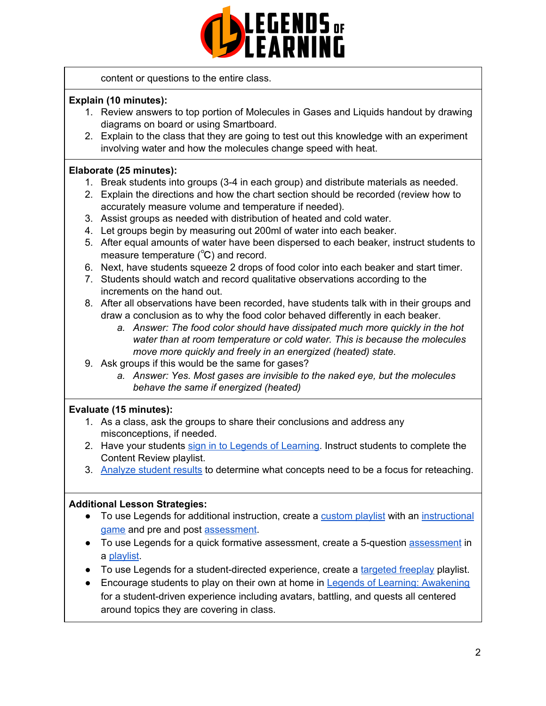

content or questions to the entire class.

## **Explain (10 minutes):**

- 1. Review answers to top portion of Molecules in Gases and Liquids handout by drawing diagrams on board or using Smartboard.
- 2. Explain to the class that they are going to test out this knowledge with an experiment involving water and how the molecules change speed with heat.

#### **Elaborate (25 minutes):**

- 1. Break students into groups (3-4 in each group) and distribute materials as needed.
- 2. Explain the directions and how the chart section should be recorded (review how to accurately measure volume and temperature if needed).
- 3. Assist groups as needed with distribution of heated and cold water.
- 4. Let groups begin by measuring out 200ml of water into each beaker.
- 5. After equal amounts of water have been dispersed to each beaker, instruct students to measure temperature (℃) and record.
- 6. Next, have students squeeze 2 drops of food color into each beaker and start timer.
- 7. Students should watch and record qualitative observations according to the increments on the hand out.
- 8. After all observations have been recorded, have students talk with in their groups and draw a conclusion as to why the food color behaved differently in each beaker.
	- *a. Answer: The food color should have dissipated much more quickly in the hot water than at room temperature or cold water. This is because the molecules move more quickly and freely in an energized (heated) state.*
- 9. Ask groups if this would be the same for gases?
	- *a. Answer: Yes. Most gases are invisible to the naked eye, but the molecules behave the same if energized (heated)*

## **Evaluate (15 minutes):**

- 1. As a class, ask the groups to share their conclusions and address any misconceptions, if needed.
- 2. Have your students sign in to Legends of [Learning](https://intercom.help/legends-of-learning/en/articles/2154920-students-joining-a-playlist). Instruct students to complete the Content Review playlist.
- 3. [Analyze](https://intercom.help/legends-of-learning/en/articles/2154918-tracking-student-progress-and-performance) student results to determine what concepts need to be a focus for reteaching.

#### **Additional Lesson Strategies:**

- To use Legends for additional instruction, create a [custom](https://intercom.help/legends-of-learning/en/articles/2154910-creating-a-playlist) playlist with an [instructional](https://intercom.help/legends-of-learning/en/articles/3505828-types-of-games) [game](https://intercom.help/legends-of-learning/en/articles/3505828-types-of-games) and pre and post [assessment](https://intercom.help/legends-of-learning/en/articles/2154913-adding-assessments-to-a-playlist).
- To use Legends for a quick formative [assessment](https://intercom.help/legends-of-learning/en/articles/2154913-adding-assessments-to-a-playlist), create a 5-question assessment in a [playlist](https://intercom.help/legends-of-learning/en/articles/2154910-creating-a-playlist).
- To use Legends for a student-directed experience, create a [targeted](https://intercom.help/legends-of-learning/en/articles/3340814-targeted-freeplay) freeplay playlist.
- Encourage students to play on their own at home in Legends of Learning: [Awakening](https://intercom.help/legends-of-learning/en/articles/2425490-legends-of-learning-awakening) for a student-driven experience including avatars, battling, and quests all centered around topics they are covering in class.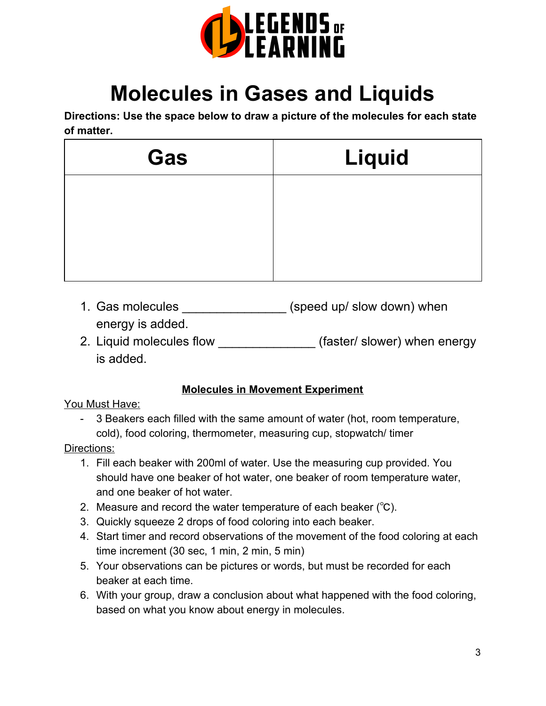

# **Molecules in Gases and Liquids**

**Directions: Use the space below to draw a picture of the molecules for each state of matter.**

| Gas | Liquid |  |  |
|-----|--------|--|--|
|     |        |  |  |
|     |        |  |  |
|     |        |  |  |

- 1. Gas molecules \_\_\_\_\_\_\_\_\_\_\_\_\_\_\_\_\_\_\_ (speed up/ slow down) when energy is added.
- 2. Liquid molecules flow \_\_\_\_\_\_\_\_\_\_\_\_\_\_\_(faster/ slower) when energy is added.

# **Molecules in Movement Experiment**

## You Must Have:

- 3 Beakers each filled with the same amount of water (hot, room temperature, cold), food coloring, thermometer, measuring cup, stopwatch/ timer

# Directions:

- 1. Fill each beaker with 200ml of water. Use the measuring cup provided. You should have one beaker of hot water, one beaker of room temperature water, and one beaker of hot water.
- 2. Measure and record the water temperature of each beaker (℃).
- 3. Quickly squeeze 2 drops of food coloring into each beaker.
- 4. Start timer and record observations of the movement of the food coloring at each time increment (30 sec, 1 min, 2 min, 5 min)
- 5. Your observations can be pictures or words, but must be recorded for each beaker at each time.
- 6. With your group, draw a conclusion about what happened with the food coloring, based on what you know about energy in molecules.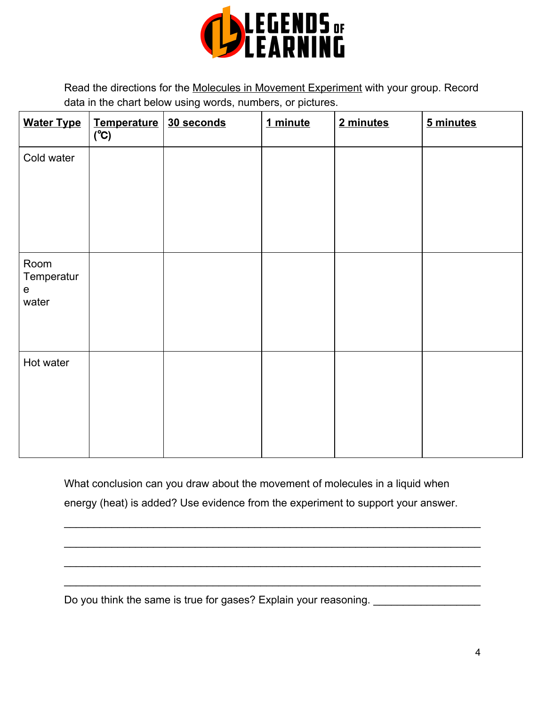

Read the directions for the Molecules in Movement Experiment with your group. Record data in the chart below using words, numbers, or pictures.

| <b>Water Type</b>                        | Temperature<br>(°C) | 30 seconds | 1 minute | 2 minutes | 5 minutes |
|------------------------------------------|---------------------|------------|----------|-----------|-----------|
| Cold water                               |                     |            |          |           |           |
| Room<br>Temperatur<br>${\bf e}$<br>water |                     |            |          |           |           |
| Hot water                                |                     |            |          |           |           |

What conclusion can you draw about the movement of molecules in a liquid when energy (heat) is added? Use evidence from the experiment to support your answer.

\_\_\_\_\_\_\_\_\_\_\_\_\_\_\_\_\_\_\_\_\_\_\_\_\_\_\_\_\_\_\_\_\_\_\_\_\_\_\_\_\_\_\_\_\_\_\_\_\_\_\_\_\_\_\_\_\_\_\_\_\_\_\_\_\_\_\_\_\_\_

\_\_\_\_\_\_\_\_\_\_\_\_\_\_\_\_\_\_\_\_\_\_\_\_\_\_\_\_\_\_\_\_\_\_\_\_\_\_\_\_\_\_\_\_\_\_\_\_\_\_\_\_\_\_\_\_\_\_\_\_\_\_\_\_\_\_\_\_\_\_

\_\_\_\_\_\_\_\_\_\_\_\_\_\_\_\_\_\_\_\_\_\_\_\_\_\_\_\_\_\_\_\_\_\_\_\_\_\_\_\_\_\_\_\_\_\_\_\_\_\_\_\_\_\_\_\_\_\_\_\_\_\_\_\_\_\_\_\_\_\_

\_\_\_\_\_\_\_\_\_\_\_\_\_\_\_\_\_\_\_\_\_\_\_\_\_\_\_\_\_\_\_\_\_\_\_\_\_\_\_\_\_\_\_\_\_\_\_\_\_\_\_\_\_\_\_\_\_\_\_\_\_\_\_\_\_\_\_\_\_\_

Do you think the same is true for gases? Explain your reasoning. \_\_\_\_\_\_\_\_\_\_\_\_\_\_\_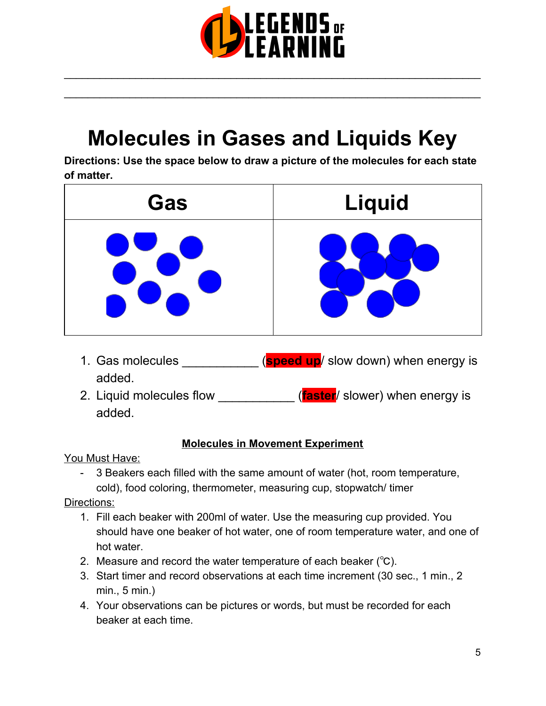

\_\_\_\_\_\_\_\_\_\_\_\_\_\_\_\_\_\_\_\_\_\_\_\_\_\_\_\_\_\_\_\_\_\_\_\_\_\_\_\_\_\_\_\_\_\_\_\_\_\_\_\_\_\_\_\_\_\_\_\_\_\_\_\_\_\_\_\_\_\_

\_\_\_\_\_\_\_\_\_\_\_\_\_\_\_\_\_\_\_\_\_\_\_\_\_\_\_\_\_\_\_\_\_\_\_\_\_\_\_\_\_\_\_\_\_\_\_\_\_\_\_\_\_\_\_\_\_\_\_\_\_\_\_\_\_\_\_\_\_\_

# **Molecules in Gases and Liquids Key**

**Directions: Use the space below to draw a picture of the molecules for each state of matter.**



- 1. Gas molecules \_\_\_\_\_\_\_\_\_\_\_ (**speed up**/ slow down) when energy is added.
- 2. Liquid molecules flow \_\_\_\_\_\_\_\_\_\_\_ (**faster**/ slower) when energy is added.

# **Molecules in Movement Experiment**

You Must Have:

- 3 Beakers each filled with the same amount of water (hot, room temperature, cold), food coloring, thermometer, measuring cup, stopwatch/ timer

Directions:

- 1. Fill each beaker with 200ml of water. Use the measuring cup provided. You should have one beaker of hot water, one of room temperature water, and one of hot water.
- 2. Measure and record the water temperature of each beaker (℃).
- 3. Start timer and record observations at each time increment (30 sec., 1 min., 2 min., 5 min.)
- 4. Your observations can be pictures or words, but must be recorded for each beaker at each time.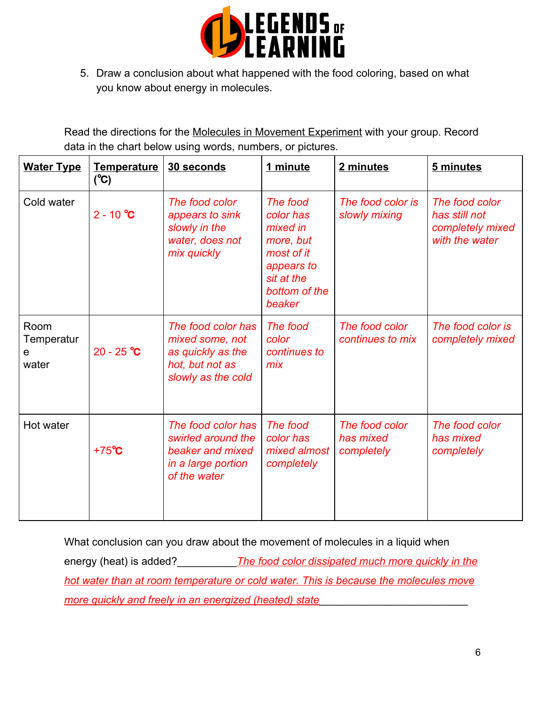

5. Draw a conclusion about what happened with the food coloring, based on what you know about energy in molecules.

Read the directions for the Molecules in Movement Experiment with your group. Record data in the chart below using words, numbers, or pictures.

| <b>Water Type</b>                | <b>Temperature</b><br>$(^{\circ}\mathrm{C})$ | 30 seconds                                                                                          | 1 minute                                                                                                            | 2 minutes                                 | 5 minutes                                                             |
|----------------------------------|----------------------------------------------|-----------------------------------------------------------------------------------------------------|---------------------------------------------------------------------------------------------------------------------|-------------------------------------------|-----------------------------------------------------------------------|
| Cold water                       | $2 - 10 °C$                                  | The food color<br>appears to sink<br>slowly in the<br>water, does not<br>mix quickly                | The food<br>color has<br>mixed in<br>more, but<br>most of it<br>appears to<br>sit at the<br>bottom of the<br>beaker | The food color is<br>slowly mixing        | The food color<br>has still not<br>completely mixed<br>with the water |
| Room<br>Temperatur<br>e<br>water | $20 - 25$ °C                                 | The food color has<br>mixed some, not<br>as quickly as the<br>hot, but not as<br>slowly as the cold | The food<br>color<br>continues to<br>mix                                                                            | The food color<br>continues to mix        | The food color is<br>completely mixed                                 |
| Hot water                        | $+75^{\circ}C$                               | The food color has<br>swirled around the<br>beaker and mixed<br>in a large portion<br>of the water  | The food<br>color has<br>mixed almost<br>completely                                                                 | The food color<br>has mixed<br>completely | The food color<br>has mixed<br>completely                             |

What conclusion can you draw about the movement of molecules in a liquid when energy (heat) is added?<br>**The food color dissipated much more quickly in the** *hot water than at room temperature or cold water. This is because the molecules move more quickly and freely in an energized (heated) state*